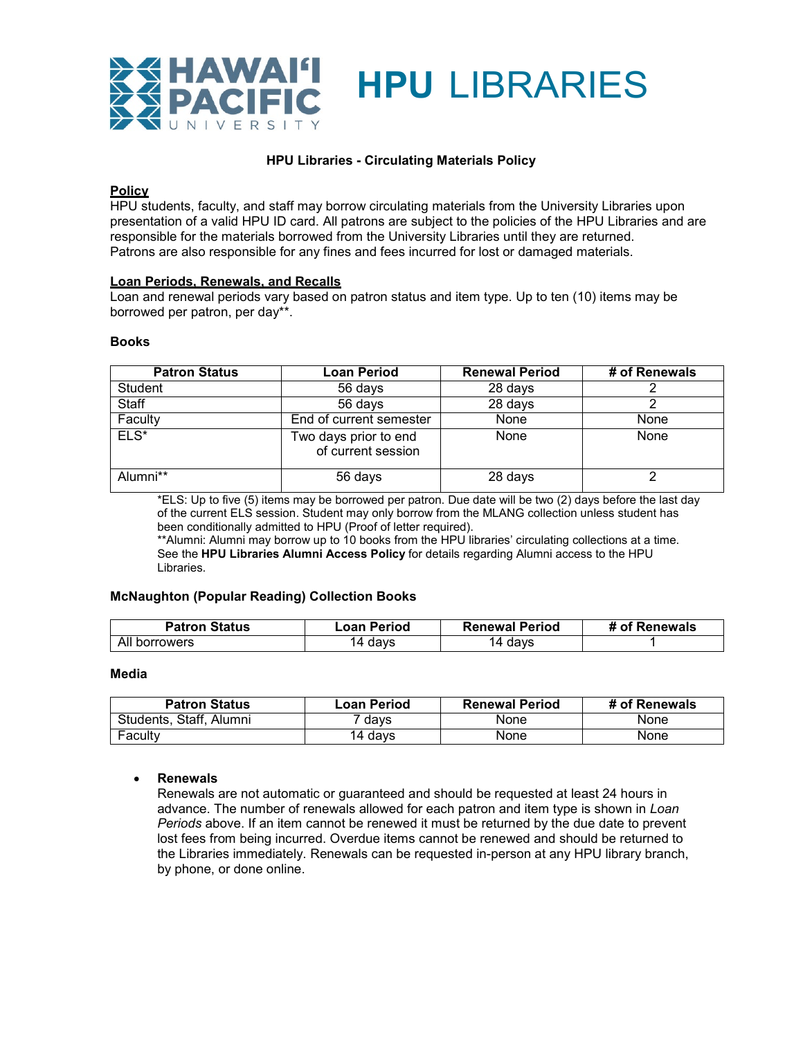

## **HPU Libraries - Circulating Materials Policy**

#### **Policy**

HPU students, faculty, and staff may borrow circulating materials from the University Libraries upon presentation of a valid HPU ID card. All patrons are subject to the policies of the HPU Libraries and are responsible for the materials borrowed from the University Libraries until they are returned. Patrons are also responsible for any fines and fees incurred for lost or damaged materials.

#### **Loan Periods, Renewals, and Recalls**

Loan and renewal periods vary based on patron status and item type. Up to ten (10) items may be borrowed per patron, per day\*\*.

#### **Books**

| <b>Patron Status</b> | Loan Period                                 | <b>Renewal Period</b> | # of Renewals |
|----------------------|---------------------------------------------|-----------------------|---------------|
| Student              | 56 days                                     | 28 days               |               |
| Staff                | 56 days                                     | 28 days               |               |
| Faculty              | End of current semester                     | None                  | None          |
| $ELS*$               | Two days prior to end<br>of current session | None                  | None          |
| Alumni**             | 56 days                                     | 28 days               | ◠             |

\*ELS: Up to five (5) items may be borrowed per patron. Due date will be two (2) days before the last day of the current ELS session. Student may only borrow from the MLANG collection unless student has been conditionally admitted to HPU (Proof of letter required).

\*\*Alumni: Alumni may borrow up to 10 books from the HPU libraries' circulating collections at a time. See the **HPU Libraries Alumni Access Policy** for details regarding Alumni access to the HPU Libraries.

#### **McNaughton (Popular Reading) Collection Books**

| <b>Patron Status</b>           | Period<br>∟oan∴ | <b>Renewal Period</b>  | <b>Renewals</b><br>Ωt |
|--------------------------------|-----------------|------------------------|-----------------------|
| All<br><b>rrowers</b><br>norro | days<br>ıД      | days<br>$\overline{ }$ |                       |

### **Media**

| <b>Patron Status</b>    | Loan Period | <b>Renewal Period</b> | # of Renewals |
|-------------------------|-------------|-----------------------|---------------|
| Students, Staff, Alumni | davs        | None                  | None          |
| Faculty                 | 14 days     | None                  | None          |

### • **Renewals**

Renewals are not automatic or guaranteed and should be requested at least 24 hours in advance. The number of renewals allowed for each patron and item type is shown in *Loan Periods* above. If an item cannot be renewed it must be returned by the due date to prevent lost fees from being incurred. Overdue items cannot be renewed and should be returned to the Libraries immediately. Renewals can be requested in-person at any HPU library branch, by phone, or done online.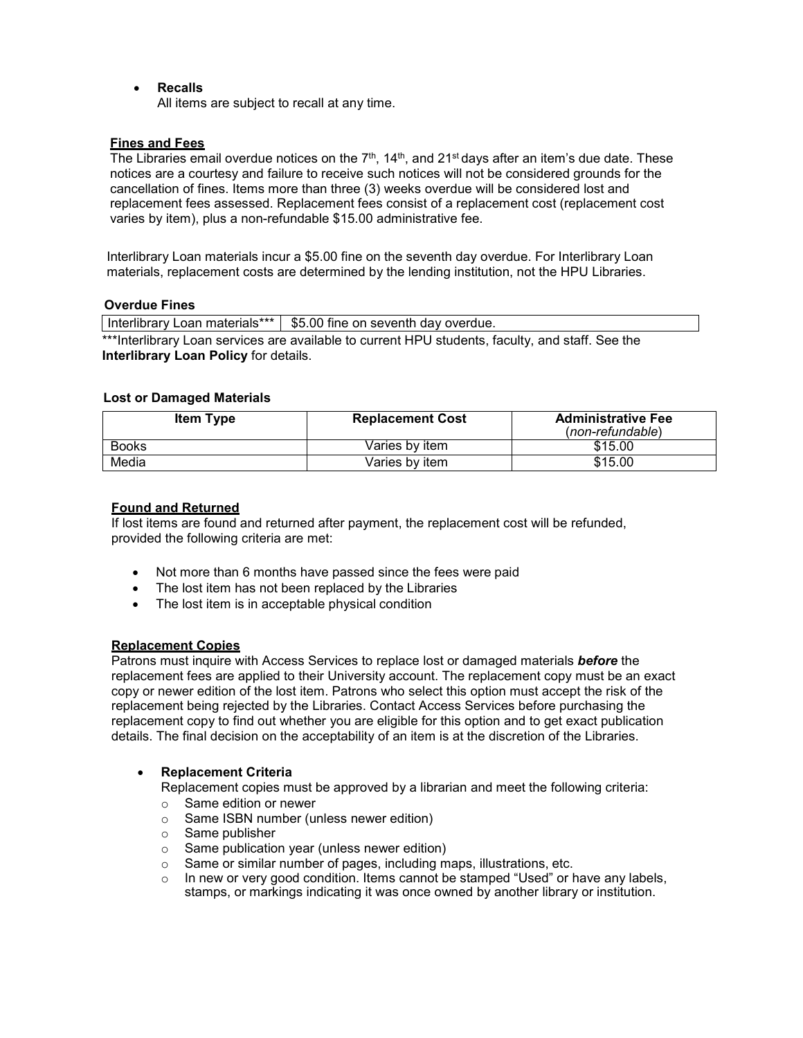• **Recalls**

All items are subject to recall at any time.

## **Fines and Fees**

The Libraries email overdue notices on the  $7<sup>th</sup>$ , 14<sup>th</sup>, and 21<sup>st</sup> days after an item's due date. These notices are a courtesy and failure to receive such notices will not be considered grounds for the cancellation of fines. Items more than three (3) weeks overdue will be considered lost and replacement fees assessed. Replacement fees consist of a replacement cost (replacement cost varies by item), plus a non-refundable \$15.00 administrative fee.

Interlibrary Loan materials incur a \$5.00 fine on the seventh day overdue. For Interlibrary Loan materials, replacement costs are determined by the lending institution, not the HPU Libraries.

### **Overdue Fines**

Interlibrary Loan materials\*\*\* | \$5.00 fine on seventh day overdue. \*\*\*Interlibrary Loan services are available to current HPU students, faculty, and staff. See the **Interlibrary Loan Policy** for details.

## **Lost or Damaged Materials**

| <b>Item Type</b> | <b>Replacement Cost</b> | <b>Administrative Fee</b><br>$(non-refundable)$ |
|------------------|-------------------------|-------------------------------------------------|
| Books            | Varies by item          | \$15.00                                         |
| Media            | Varies bv item          | \$15.00                                         |

# **Found and Returned**

If lost items are found and returned after payment, the replacement cost will be refunded, provided the following criteria are met:

- Not more than 6 months have passed since the fees were paid
- The lost item has not been replaced by the Libraries
- The lost item is in acceptable physical condition

# **Replacement Copies**

Patrons must inquire with Access Services to replace lost or damaged materials *before* the replacement fees are applied to their University account. The replacement copy must be an exact copy or newer edition of the lost item. Patrons who select this option must accept the risk of the replacement being rejected by the Libraries. Contact Access Services before purchasing the replacement copy to find out whether you are eligible for this option and to get exact publication details. The final decision on the acceptability of an item is at the discretion of the Libraries.

# • **Replacement Criteria**

Replacement copies must be approved by a librarian and meet the following criteria:

- o Same edition or newer
- o Same ISBN number (unless newer edition)
- o Same publisher
- o Same publication year (unless newer edition)
- o Same or similar number of pages, including maps, illustrations, etc.
- In new or very good condition. Items cannot be stamped "Used" or have any labels, stamps, or markings indicating it was once owned by another library or institution.